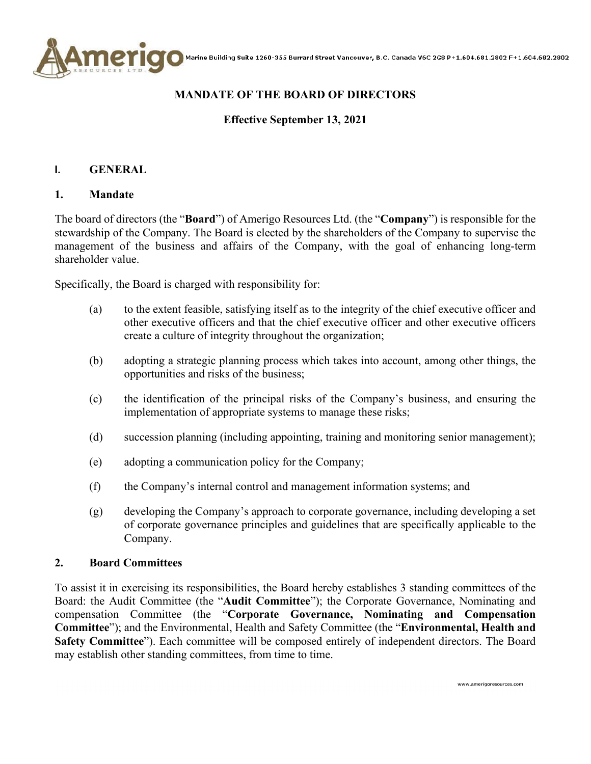

# **MANDATE OF THE BOARD OF DIRECTORS**

# **Effective September 13, 2021**

### **I. GENERAL**

#### **1. Mandate**

The board of directors (the "**Board**") of Amerigo Resources Ltd. (the "**Company**") is responsible for the stewardship of the Company. The Board is elected by the shareholders of the Company to supervise the management of the business and affairs of the Company, with the goal of enhancing long-term shareholder value.

Specifically, the Board is charged with responsibility for:

- (a) to the extent feasible, satisfying itself as to the integrity of the chief executive officer and other executive officers and that the chief executive officer and other executive officers create a culture of integrity throughout the organization;
- (b) adopting a strategic planning process which takes into account, among other things, the opportunities and risks of the business;
- (c) the identification of the principal risks of the Company's business, and ensuring the implementation of appropriate systems to manage these risks;
- (d) succession planning (including appointing, training and monitoring senior management);
- (e) adopting a communication policy for the Company;
- (f) the Company's internal control and management information systems; and
- (g) developing the Company's approach to corporate governance, including developing a set of corporate governance principles and guidelines that are specifically applicable to the Company.

#### **2. Board Committees**

To assist it in exercising its responsibilities, the Board hereby establishes 3 standing committees of the Board: the Audit Committee (the "**Audit Committee**"); the Corporate Governance, Nominating and compensation Committee (the "**Corporate Governance, Nominating and Compensation Committee**"); and the Environmental, Health and Safety Committee (the "**Environmental, Health and Safety Committee**"). Each committee will be composed entirely of independent directors. The Board may establish other standing committees, from time to time.

www.amerigoresources.com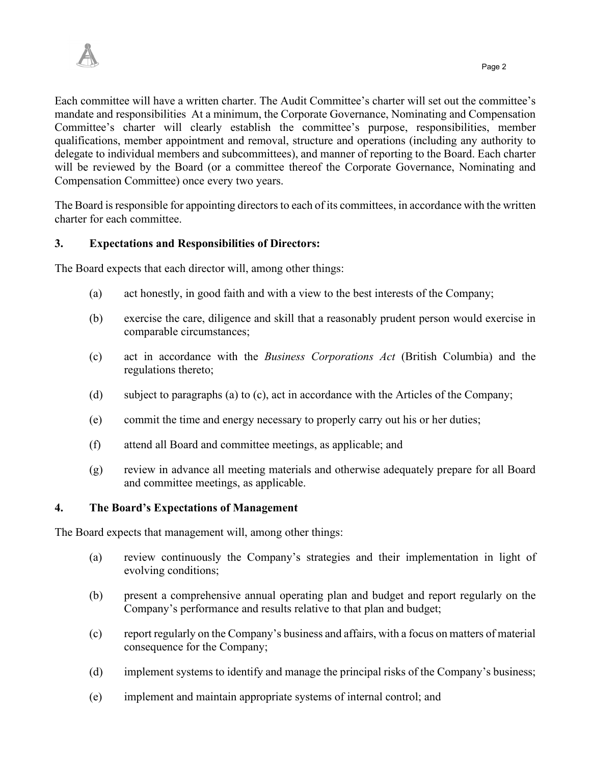Each committee will have a written charter. The Audit Committee's charter will set out the committee's mandate and responsibilities At a minimum, the Corporate Governance, Nominating and Compensation Committee's charter will clearly establish the committee's purpose, responsibilities, member qualifications, member appointment and removal, structure and operations (including any authority to delegate to individual members and subcommittees), and manner of reporting to the Board. Each charter will be reviewed by the Board (or a committee thereof the Corporate Governance, Nominating and Compensation Committee) once every two years.

The Board is responsible for appointing directors to each of its committees, in accordance with the written charter for each committee.

# **3. Expectations and Responsibilities of Directors:**

The Board expects that each director will, among other things:

- (a) act honestly, in good faith and with a view to the best interests of the Company;
- (b) exercise the care, diligence and skill that a reasonably prudent person would exercise in comparable circumstances;
- (c) act in accordance with the *Business Corporations Act* (British Columbia) and the regulations thereto;
- (d) subject to paragraphs (a) to (c), act in accordance with the Articles of the Company;
- (e) commit the time and energy necessary to properly carry out his or her duties;
- (f) attend all Board and committee meetings, as applicable; and
- (g) review in advance all meeting materials and otherwise adequately prepare for all Board and committee meetings, as applicable.

#### **4. The Board's Expectations of Management**

The Board expects that management will, among other things:

- (a) review continuously the Company's strategies and their implementation in light of evolving conditions;
- (b) present a comprehensive annual operating plan and budget and report regularly on the Company's performance and results relative to that plan and budget;
- (c) report regularly on the Company's business and affairs, with a focus on matters of material consequence for the Company;
- (d) implement systems to identify and manage the principal risks of the Company's business;
- (e) implement and maintain appropriate systems of internal control; and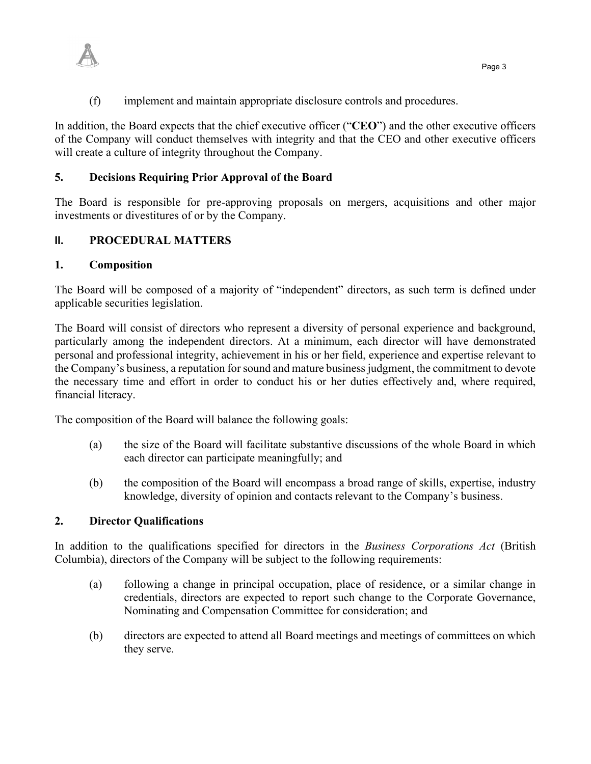

(f) implement and maintain appropriate disclosure controls and procedures.

In addition, the Board expects that the chief executive officer ("**CEO**") and the other executive officers of the Company will conduct themselves with integrity and that the CEO and other executive officers will create a culture of integrity throughout the Company.

### **5. Decisions Requiring Prior Approval of the Board**

The Board is responsible for pre-approving proposals on mergers, acquisitions and other major investments or divestitures of or by the Company.

### **II. PROCEDURAL MATTERS**

### **1. Composition**

The Board will be composed of a majority of "independent" directors, as such term is defined under applicable securities legislation.

The Board will consist of directors who represent a diversity of personal experience and background, particularly among the independent directors. At a minimum, each director will have demonstrated personal and professional integrity, achievement in his or her field, experience and expertise relevant to the Company's business, a reputation for sound and mature business judgment, the commitment to devote the necessary time and effort in order to conduct his or her duties effectively and, where required, financial literacy.

The composition of the Board will balance the following goals:

- (a) the size of the Board will facilitate substantive discussions of the whole Board in which each director can participate meaningfully; and
- (b) the composition of the Board will encompass a broad range of skills, expertise, industry knowledge, diversity of opinion and contacts relevant to the Company's business.

### **2. Director Qualifications**

In addition to the qualifications specified for directors in the *Business Corporations Act* (British Columbia), directors of the Company will be subject to the following requirements:

- (a) following a change in principal occupation, place of residence, or a similar change in credentials, directors are expected to report such change to the Corporate Governance, Nominating and Compensation Committee for consideration; and
- (b) directors are expected to attend all Board meetings and meetings of committees on which they serve.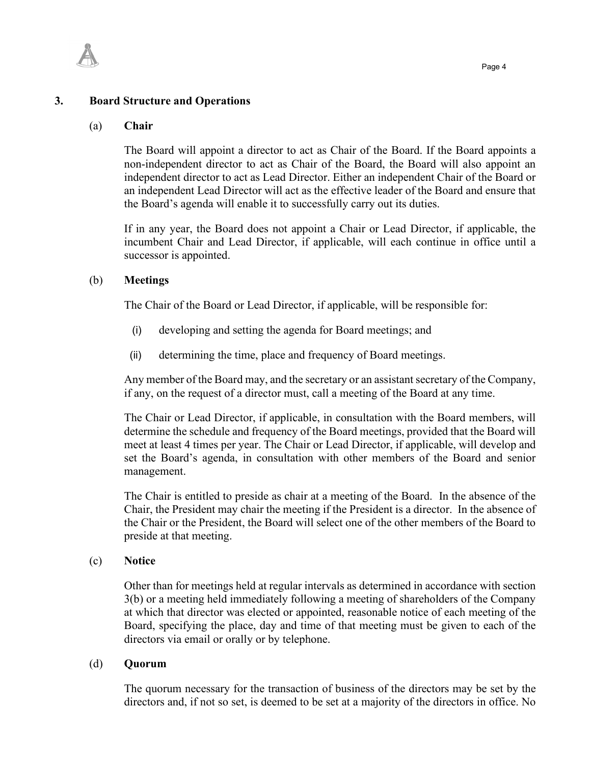

#### **3. Board Structure and Operations**

#### (a) **Chair**

The Board will appoint a director to act as Chair of the Board. If the Board appoints a non-independent director to act as Chair of the Board, the Board will also appoint an independent director to act as Lead Director. Either an independent Chair of the Board or an independent Lead Director will act as the effective leader of the Board and ensure that the Board's agenda will enable it to successfully carry out its duties.

If in any year, the Board does not appoint a Chair or Lead Director, if applicable, the incumbent Chair and Lead Director, if applicable, will each continue in office until a successor is appointed.

#### (b) **Meetings**

The Chair of the Board or Lead Director, if applicable, will be responsible for:

- (i) developing and setting the agenda for Board meetings; and
- (ii) determining the time, place and frequency of Board meetings.

Any member of the Board may, and the secretary or an assistant secretary of the Company, if any, on the request of a director must, call a meeting of the Board at any time.

The Chair or Lead Director, if applicable, in consultation with the Board members, will determine the schedule and frequency of the Board meetings, provided that the Board will meet at least 4 times per year. The Chair or Lead Director, if applicable, will develop and set the Board's agenda, in consultation with other members of the Board and senior management.

The Chair is entitled to preside as chair at a meeting of the Board. In the absence of the Chair, the President may chair the meeting if the President is a director. In the absence of the Chair or the President, the Board will select one of the other members of the Board to preside at that meeting.

#### (c) **Notice**

Other than for meetings held at regular intervals as determined in accordance with section 3(b) or a meeting held immediately following a meeting of shareholders of the Company at which that director was elected or appointed, reasonable notice of each meeting of the Board, specifying the place, day and time of that meeting must be given to each of the directors via email or orally or by telephone.

#### (d) **Quorum**

The quorum necessary for the transaction of business of the directors may be set by the directors and, if not so set, is deemed to be set at a majority of the directors in office. No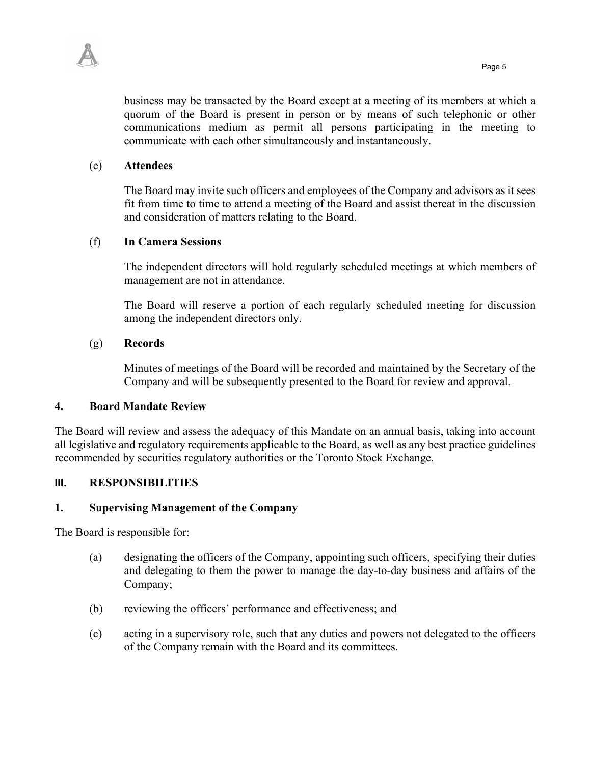

business may be transacted by the Board except at a meeting of its members at which a quorum of the Board is present in person or by means of such telephonic or other communications medium as permit all persons participating in the meeting to communicate with each other simultaneously and instantaneously.

# (e) **Attendees**

The Board may invite such officers and employees of the Company and advisors as it sees fit from time to time to attend a meeting of the Board and assist thereat in the discussion and consideration of matters relating to the Board.

### (f) **In Camera Sessions**

The independent directors will hold regularly scheduled meetings at which members of management are not in attendance.

The Board will reserve a portion of each regularly scheduled meeting for discussion among the independent directors only.

### (g) **Records**

Minutes of meetings of the Board will be recorded and maintained by the Secretary of the Company and will be subsequently presented to the Board for review and approval.

#### **4. Board Mandate Review**

The Board will review and assess the adequacy of this Mandate on an annual basis, taking into account all legislative and regulatory requirements applicable to the Board, as well as any best practice guidelines recommended by securities regulatory authorities or the Toronto Stock Exchange.

# **III. RESPONSIBILITIES**

#### **1. Supervising Management of the Company**

The Board is responsible for:

- (a) designating the officers of the Company, appointing such officers, specifying their duties and delegating to them the power to manage the day-to-day business and affairs of the Company;
- (b) reviewing the officers' performance and effectiveness; and
- (c) acting in a supervisory role, such that any duties and powers not delegated to the officers of the Company remain with the Board and its committees.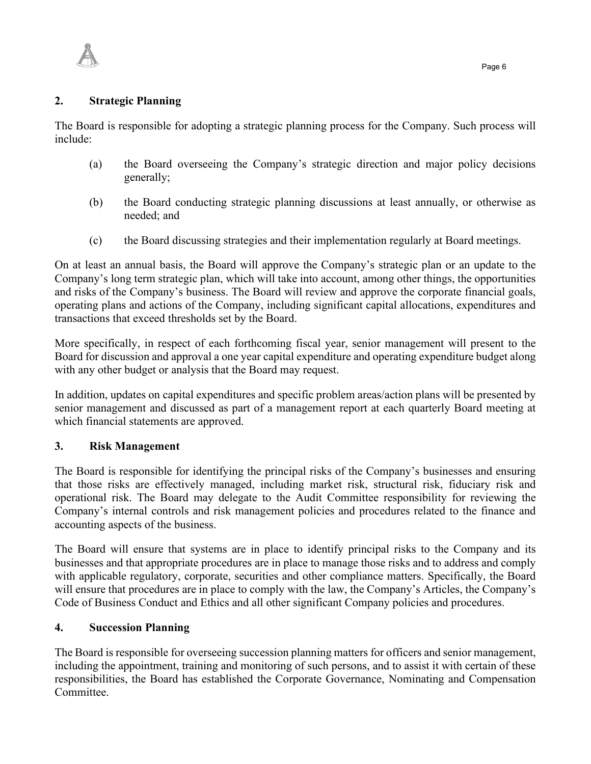

The Board is responsible for adopting a strategic planning process for the Company. Such process will include:

- (a) the Board overseeing the Company's strategic direction and major policy decisions generally;
- (b) the Board conducting strategic planning discussions at least annually, or otherwise as needed; and
- (c) the Board discussing strategies and their implementation regularly at Board meetings.

On at least an annual basis, the Board will approve the Company's strategic plan or an update to the Company's long term strategic plan, which will take into account, among other things, the opportunities and risks of the Company's business. The Board will review and approve the corporate financial goals, operating plans and actions of the Company, including significant capital allocations, expenditures and transactions that exceed thresholds set by the Board.

More specifically, in respect of each forthcoming fiscal year, senior management will present to the Board for discussion and approval a one year capital expenditure and operating expenditure budget along with any other budget or analysis that the Board may request.

In addition, updates on capital expenditures and specific problem areas/action plans will be presented by senior management and discussed as part of a management report at each quarterly Board meeting at which financial statements are approved.

# **3. Risk Management**

The Board is responsible for identifying the principal risks of the Company's businesses and ensuring that those risks are effectively managed, including market risk, structural risk, fiduciary risk and operational risk. The Board may delegate to the Audit Committee responsibility for reviewing the Company's internal controls and risk management policies and procedures related to the finance and accounting aspects of the business.

The Board will ensure that systems are in place to identify principal risks to the Company and its businesses and that appropriate procedures are in place to manage those risks and to address and comply with applicable regulatory, corporate, securities and other compliance matters. Specifically, the Board will ensure that procedures are in place to comply with the law, the Company's Articles, the Company's Code of Business Conduct and Ethics and all other significant Company policies and procedures.

# **4. Succession Planning**

The Board is responsible for overseeing succession planning matters for officers and senior management, including the appointment, training and monitoring of such persons, and to assist it with certain of these responsibilities, the Board has established the Corporate Governance, Nominating and Compensation Committee.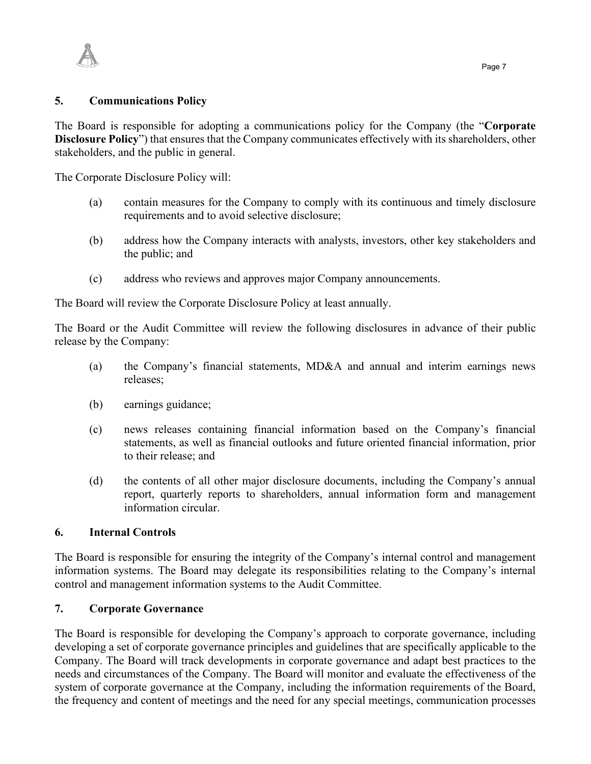

The Board is responsible for adopting a communications policy for the Company (the "**Corporate Disclosure Policy**") that ensures that the Company communicates effectively with its shareholders, other stakeholders, and the public in general.

The Corporate Disclosure Policy will:

- (a) contain measures for the Company to comply with its continuous and timely disclosure requirements and to avoid selective disclosure;
- (b) address how the Company interacts with analysts, investors, other key stakeholders and the public; and
- (c) address who reviews and approves major Company announcements.

The Board will review the Corporate Disclosure Policy at least annually.

The Board or the Audit Committee will review the following disclosures in advance of their public release by the Company:

- (a) the Company's financial statements, MD&A and annual and interim earnings news releases;
- (b) earnings guidance;
- (c) news releases containing financial information based on the Company's financial statements, as well as financial outlooks and future oriented financial information, prior to their release; and
- (d) the contents of all other major disclosure documents, including the Company's annual report, quarterly reports to shareholders, annual information form and management information circular.

# **6. Internal Controls**

The Board is responsible for ensuring the integrity of the Company's internal control and management information systems. The Board may delegate its responsibilities relating to the Company's internal control and management information systems to the Audit Committee.

# **7. Corporate Governance**

The Board is responsible for developing the Company's approach to corporate governance, including developing a set of corporate governance principles and guidelines that are specifically applicable to the Company. The Board will track developments in corporate governance and adapt best practices to the needs and circumstances of the Company. The Board will monitor and evaluate the effectiveness of the system of corporate governance at the Company, including the information requirements of the Board, the frequency and content of meetings and the need for any special meetings, communication processes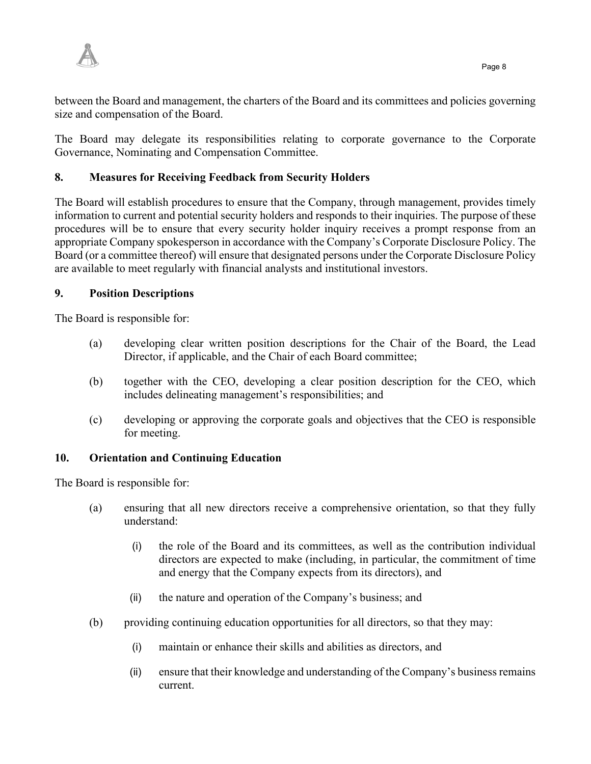

between the Board and management, the charters of the Board and its committees and policies governing size and compensation of the Board.

The Board may delegate its responsibilities relating to corporate governance to the Corporate Governance, Nominating and Compensation Committee.

# **8. Measures for Receiving Feedback from Security Holders**

The Board will establish procedures to ensure that the Company, through management, provides timely information to current and potential security holders and responds to their inquiries. The purpose of these procedures will be to ensure that every security holder inquiry receives a prompt response from an appropriate Company spokesperson in accordance with the Company's Corporate Disclosure Policy. The Board (or a committee thereof) will ensure that designated persons under the Corporate Disclosure Policy are available to meet regularly with financial analysts and institutional investors.

# **9. Position Descriptions**

The Board is responsible for:

- (a) developing clear written position descriptions for the Chair of the Board, the Lead Director, if applicable, and the Chair of each Board committee;
- (b) together with the CEO, developing a clear position description for the CEO, which includes delineating management's responsibilities; and
- (c) developing or approving the corporate goals and objectives that the CEO is responsible for meeting.

# **10. Orientation and Continuing Education**

The Board is responsible for:

- (a) ensuring that all new directors receive a comprehensive orientation, so that they fully understand:
	- (i) the role of the Board and its committees, as well as the contribution individual directors are expected to make (including, in particular, the commitment of time and energy that the Company expects from its directors), and
	- (ii) the nature and operation of the Company's business; and
- (b) providing continuing education opportunities for all directors, so that they may:
	- (i) maintain or enhance their skills and abilities as directors, and
	- (ii) ensure that their knowledge and understanding of the Company's business remains current.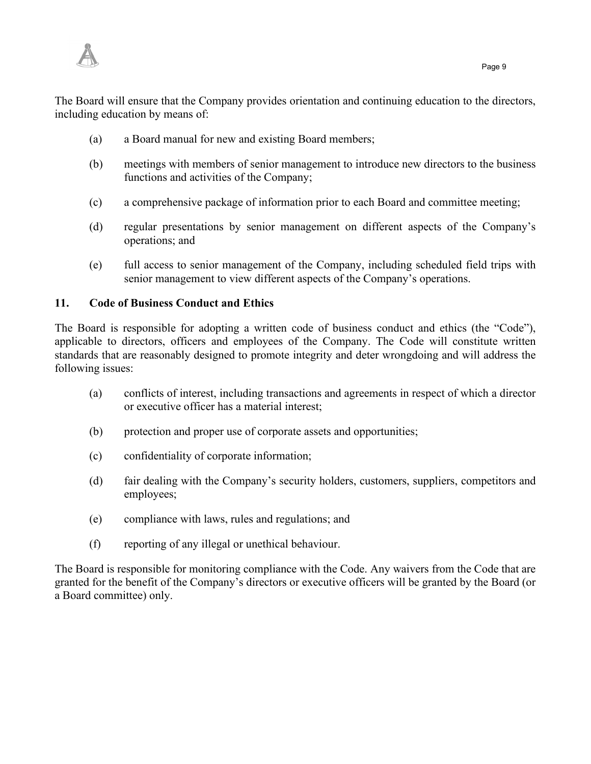

The Board will ensure that the Company provides orientation and continuing education to the directors, including education by means of:

- (a) a Board manual for new and existing Board members;
- (b) meetings with members of senior management to introduce new directors to the business functions and activities of the Company;
- (c) a comprehensive package of information prior to each Board and committee meeting;
- (d) regular presentations by senior management on different aspects of the Company's operations; and
- (e) full access to senior management of the Company, including scheduled field trips with senior management to view different aspects of the Company's operations.

# **11. Code of Business Conduct and Ethics**

The Board is responsible for adopting a written code of business conduct and ethics (the "Code"), applicable to directors, officers and employees of the Company. The Code will constitute written standards that are reasonably designed to promote integrity and deter wrongdoing and will address the following issues:

- (a) conflicts of interest, including transactions and agreements in respect of which a director or executive officer has a material interest;
- (b) protection and proper use of corporate assets and opportunities;
- (c) confidentiality of corporate information;
- (d) fair dealing with the Company's security holders, customers, suppliers, competitors and employees;
- (e) compliance with laws, rules and regulations; and
- (f) reporting of any illegal or unethical behaviour.

The Board is responsible for monitoring compliance with the Code. Any waivers from the Code that are granted for the benefit of the Company's directors or executive officers will be granted by the Board (or a Board committee) only.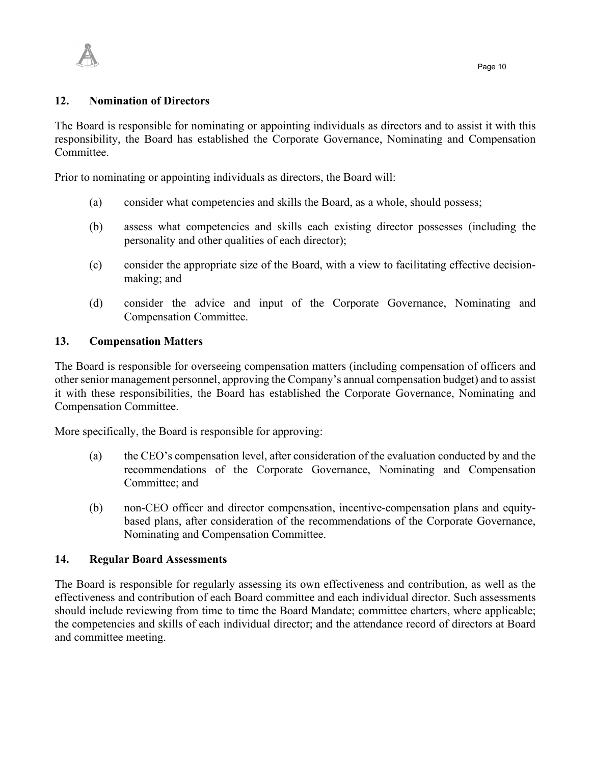

#### **12. Nomination of Directors**

The Board is responsible for nominating or appointing individuals as directors and to assist it with this responsibility, the Board has established the Corporate Governance, Nominating and Compensation Committee.

Prior to nominating or appointing individuals as directors, the Board will:

- (a) consider what competencies and skills the Board, as a whole, should possess;
- (b) assess what competencies and skills each existing director possesses (including the personality and other qualities of each director);
- (c) consider the appropriate size of the Board, with a view to facilitating effective decisionmaking; and
- (d) consider the advice and input of the Corporate Governance, Nominating and Compensation Committee.

#### **13. Compensation Matters**

The Board is responsible for overseeing compensation matters (including compensation of officers and other senior management personnel, approving the Company's annual compensation budget) and to assist it with these responsibilities, the Board has established the Corporate Governance, Nominating and Compensation Committee.

More specifically, the Board is responsible for approving:

- (a) the CEO's compensation level, after consideration of the evaluation conducted by and the recommendations of the Corporate Governance, Nominating and Compensation Committee; and
- (b) non-CEO officer and director compensation, incentive-compensation plans and equitybased plans, after consideration of the recommendations of the Corporate Governance, Nominating and Compensation Committee.

### **14. Regular Board Assessments**

The Board is responsible for regularly assessing its own effectiveness and contribution, as well as the effectiveness and contribution of each Board committee and each individual director. Such assessments should include reviewing from time to time the Board Mandate; committee charters, where applicable; the competencies and skills of each individual director; and the attendance record of directors at Board and committee meeting.